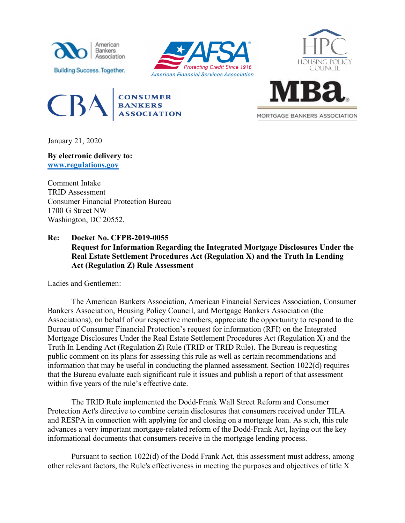









MORTGAGE BANKERS ASSOCIATION

January 21, 2020

**By electronic delivery to: [www.regulations.gov](http://www.regulations.gov/)**

Comment Intake TRID Assessment Consumer Financial Protection Bureau 1700 G Street NW Washington, DC 20552.

**Re: Docket No. CFPB-2019-0055 Request for Information Regarding the Integrated Mortgage Disclosures Under the Real Estate Settlement Procedures Act (Regulation X) and the Truth In Lending Act (Regulation Z) Rule Assessment**

Ladies and Gentlemen:

The American Bankers Association, American Financial Services Association, Consumer Bankers Association, Housing Policy Council, and Mortgage Bankers Association (the Associations), on behalf of our respective members, appreciate the opportunity to respond to the Bureau of Consumer Financial Protection's request for information (RFI) on the Integrated Mortgage Disclosures Under the Real Estate Settlement Procedures Act (Regulation X) and the Truth In Lending Act (Regulation Z) Rule (TRID or TRID Rule). The Bureau is requesting public comment on its plans for assessing this rule as well as certain recommendations and information that may be useful in conducting the planned assessment. Section 1022(d) requires that the Bureau evaluate each significant rule it issues and publish a report of that assessment within five years of the rule's effective date.

The TRID Rule implemented the Dodd-Frank Wall Street Reform and Consumer Protection Act's directive to combine certain disclosures that consumers received under TILA and RESPA in connection with applying for and closing on a mortgage loan. As such, this rule advances a very important mortgage-related reform of the Dodd-Frank Act, laying out the key informational documents that consumers receive in the mortgage lending process.

Pursuant to section 1022(d) of the Dodd Frank Act, this assessment must address, among other relevant factors, the Rule's effectiveness in meeting the purposes and objectives of title X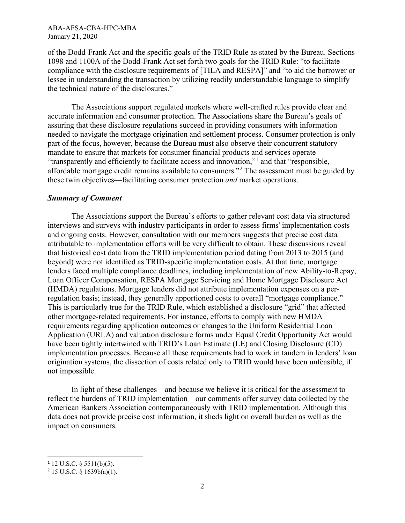of the Dodd-Frank Act and the specific goals of the TRID Rule as stated by the Bureau. Sections 1098 and 1100A of the Dodd-Frank Act set forth two goals for the TRID Rule: "to facilitate compliance with the disclosure requirements of [TILA and RESPA]" and "to aid the borrower or lessee in understanding the transaction by utilizing readily understandable language to simplify the technical nature of the disclosures."

The Associations support regulated markets where well-crafted rules provide clear and accurate information and consumer protection. The Associations share the Bureau's goals of assuring that these disclosure regulations succeed in providing consumers with information needed to navigate the mortgage origination and settlement process. Consumer protection is only part of the focus, however, because the Bureau must also observe their concurrent statutory mandate to ensure that markets for consumer financial products and services operate "transparently and efficiently to facilitate access and innovation,"[1](#page-1-0) and that "responsible, affordable mortgage credit remains available to consumers."[2](#page-1-1) The assessment must be guided by these twin objectives—facilitating consumer protection *and* market operations.

#### *Summary of Comment*

The Associations support the Bureau's efforts to gather relevant cost data via structured interviews and surveys with industry participants in order to assess firms' implementation costs and ongoing costs. However, consultation with our members suggests that precise cost data attributable to implementation efforts will be very difficult to obtain. These discussions reveal that historical cost data from the TRID implementation period dating from 2013 to 2015 (and beyond) were not identified as TRID-specific implementation costs. At that time, mortgage lenders faced multiple compliance deadlines, including implementation of new Ability-to-Repay, Loan Officer Compensation, RESPA Mortgage Servicing and Home Mortgage Disclosure Act (HMDA) regulations. Mortgage lenders did not attribute implementation expenses on a perregulation basis; instead, they generally apportioned costs to overall "mortgage compliance." This is particularly true for the TRID Rule, which established a disclosure "grid" that affected other mortgage-related requirements. For instance, efforts to comply with new HMDA requirements regarding application outcomes or changes to the Uniform Residential Loan Application (URLA) and valuation disclosure forms under Equal Credit Opportunity Act would have been tightly intertwined with TRID's Loan Estimate (LE) and Closing Disclosure (CD) implementation processes. Because all these requirements had to work in tandem in lenders' loan origination systems, the dissection of costs related only to TRID would have been unfeasible, if not impossible.

In light of these challenges—and because we believe it is critical for the assessment to reflect the burdens of TRID implementation—our comments offer survey data collected by the American Bankers Association contemporaneously with TRID implementation. Although this data does not provide precise cost information, it sheds light on overall burden as well as the impact on consumers.

<span id="page-1-0"></span> $1$  12 U.S.C. § 5511(b)(5).

<span id="page-1-1"></span> $2$  15 U.S.C. § 1639b(a)(1).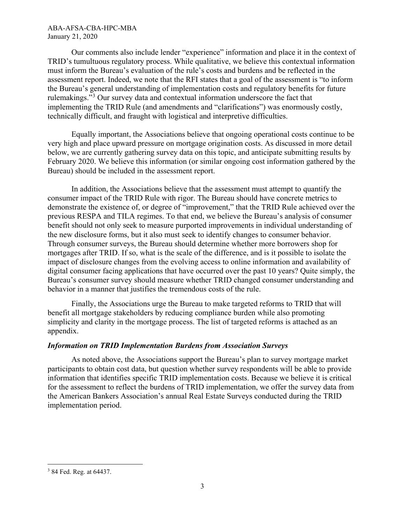Our comments also include lender "experience" information and place it in the context of TRID's tumultuous regulatory process. While qualitative, we believe this contextual information must inform the Bureau's evaluation of the rule's costs and burdens and be reflected in the assessment report. Indeed, we note that the RFI states that a goal of the assessment is "to inform the Bureau's general understanding of implementation costs and regulatory benefits for future rulemakings."[3](#page-2-0) Our survey data and contextual information underscore the fact that implementing the TRID Rule (and amendments and "clarifications") was enormously costly, technically difficult, and fraught with logistical and interpretive difficulties.

Equally important, the Associations believe that ongoing operational costs continue to be very high and place upward pressure on mortgage origination costs. As discussed in more detail below, we are currently gathering survey data on this topic, and anticipate submitting results by February 2020. We believe this information (or similar ongoing cost information gathered by the Bureau) should be included in the assessment report.

In addition, the Associations believe that the assessment must attempt to quantify the consumer impact of the TRID Rule with rigor. The Bureau should have concrete metrics to demonstrate the existence of, or degree of "improvement," that the TRID Rule achieved over the previous RESPA and TILA regimes. To that end, we believe the Bureau's analysis of consumer benefit should not only seek to measure purported improvements in individual understanding of the new disclosure forms, but it also must seek to identify changes to consumer behavior. Through consumer surveys, the Bureau should determine whether more borrowers shop for mortgages after TRID. If so, what is the scale of the difference, and is it possible to isolate the impact of disclosure changes from the evolving access to online information and availability of digital consumer facing applications that have occurred over the past 10 years? Quite simply, the Bureau's consumer survey should measure whether TRID changed consumer understanding and behavior in a manner that justifies the tremendous costs of the rule.

Finally, the Associations urge the Bureau to make targeted reforms to TRID that will benefit all mortgage stakeholders by reducing compliance burden while also promoting simplicity and clarity in the mortgage process. The list of targeted reforms is attached as an appendix.

# *Information on TRID Implementation Burdens from Association Surveys*

As noted above, the Associations support the Bureau's plan to survey mortgage market participants to obtain cost data, but question whether survey respondents will be able to provide information that identifies specific TRID implementation costs. Because we believe it is critical for the assessment to reflect the burdens of TRID implementation, we offer the survey data from the American Bankers Association's annual Real Estate Surveys conducted during the TRID implementation period.

<span id="page-2-0"></span><sup>&</sup>lt;sup>3</sup> 84 Fed. Reg. at 64437.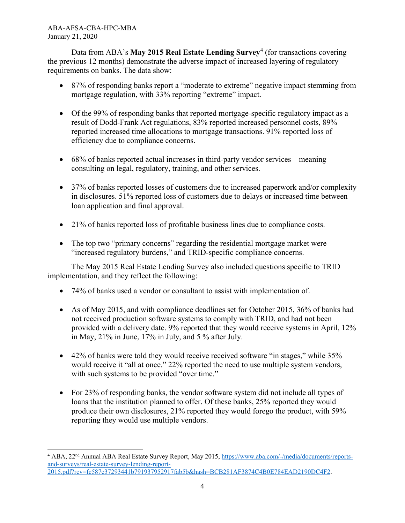Data from ABA's May 2015 Real Estate Lending Survey<sup>[4](#page-3-0)</sup> (for transactions covering the previous 12 months) demonstrate the adverse impact of increased layering of regulatory requirements on banks. The data show:

- 87% of responding banks report a "moderate to extreme" negative impact stemming from mortgage regulation, with 33% reporting "extreme" impact.
- Of the 99% of responding banks that reported mortgage-specific regulatory impact as a result of Dodd-Frank Act regulations, 83% reported increased personnel costs, 89% reported increased time allocations to mortgage transactions. 91% reported loss of efficiency due to compliance concerns.
- 68% of banks reported actual increases in third-party vendor services—meaning consulting on legal, regulatory, training, and other services.
- 37% of banks reported losses of customers due to increased paperwork and/or complexity in disclosures. 51% reported loss of customers due to delays or increased time between loan application and final approval.
- 21% of banks reported loss of profitable business lines due to compliance costs.
- The top two "primary concerns" regarding the residential mortgage market were "increased regulatory burdens," and TRID-specific compliance concerns.

The May 2015 Real Estate Lending Survey also included questions specific to TRID implementation, and they reflect the following:

- 74% of banks used a vendor or consultant to assist with implementation of.
- As of May 2015, and with compliance deadlines set for October 2015, 36% of banks had not received production software systems to comply with TRID, and had not been provided with a delivery date. 9% reported that they would receive systems in April, 12% in May, 21% in June, 17% in July, and 5 % after July.
- 42% of banks were told they would receive received software "in stages," while 35% would receive it "all at once." 22% reported the need to use multiple system vendors, with such systems to be provided "over time."
- For 23% of responding banks, the vendor software system did not include all types of loans that the institution planned to offer. Of these banks, 25% reported they would produce their own disclosures, 21% reported they would forego the product, with 59% reporting they would use multiple vendors.

<span id="page-3-0"></span> $\overline{a}$ <sup>4</sup> ABA, 22nd Annual ABA Real Estate Survey Report, May 2015, [https://www.aba.com/-/media/documents/reports](https://www.aba.com/-/media/documents/reports-and-surveys/real-estate-survey-lending-report-2015.pdf?rev=fc587e37293441b791937952917fab5b&hash=BCB281AF3874C4B0E784EAD2190DC4F2)[and-surveys/real-estate-survey-lending-report-](https://www.aba.com/-/media/documents/reports-and-surveys/real-estate-survey-lending-report-2015.pdf?rev=fc587e37293441b791937952917fab5b&hash=BCB281AF3874C4B0E784EAD2190DC4F2)[2015.pdf?rev=fc587e37293441b791937952917fab5b&hash=BCB281AF3874C4B0E784EAD2190DC4F2.](https://www.aba.com/-/media/documents/reports-and-surveys/real-estate-survey-lending-report-2015.pdf?rev=fc587e37293441b791937952917fab5b&hash=BCB281AF3874C4B0E784EAD2190DC4F2)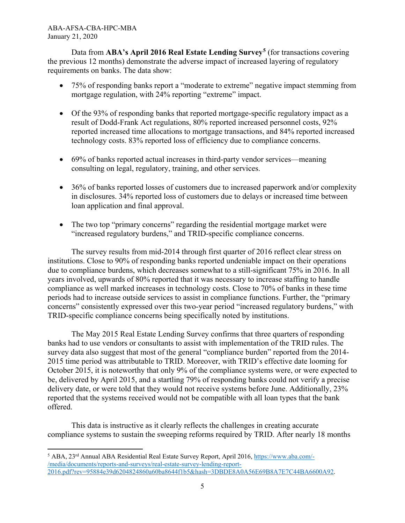Data from **ABA's April 2016 Real Estate Lending Survey[5](#page-4-0)** (for transactions covering the previous 12 months) demonstrate the adverse impact of increased layering of regulatory requirements on banks. The data show:

- 75% of responding banks report a "moderate to extreme" negative impact stemming from mortgage regulation, with 24% reporting "extreme" impact.
- Of the 93% of responding banks that reported mortgage-specific regulatory impact as a result of Dodd-Frank Act regulations, 80% reported increased personnel costs, 92% reported increased time allocations to mortgage transactions, and 84% reported increased technology costs. 83% reported loss of efficiency due to compliance concerns.
- 69% of banks reported actual increases in third-party vendor services—meaning consulting on legal, regulatory, training, and other services.
- 36% of banks reported losses of customers due to increased paperwork and/or complexity in disclosures. 34% reported loss of customers due to delays or increased time between loan application and final approval.
- The two top "primary concerns" regarding the residential mortgage market were "increased regulatory burdens," and TRID-specific compliance concerns.

The survey results from mid-2014 through first quarter of 2016 reflect clear stress on institutions. Close to 90% of responding banks reported undeniable impact on their operations due to compliance burdens, which decreases somewhat to a still-significant 75% in 2016. In all years involved, upwards of 80% reported that it was necessary to increase staffing to handle compliance as well marked increases in technology costs. Close to 70% of banks in these time periods had to increase outside services to assist in compliance functions. Further, the "primary concerns" consistently expressed over this two-year period "increased regulatory burdens," with TRID-specific compliance concerns being specifically noted by institutions.

The May 2015 Real Estate Lending Survey confirms that three quarters of responding banks had to use vendors or consultants to assist with implementation of the TRID rules. The survey data also suggest that most of the general "compliance burden" reported from the 2014- 2015 time period was attributable to TRID. Moreover, with TRID's effective date looming for October 2015, it is noteworthy that only 9% of the compliance systems were, or were expected to be, delivered by April 2015, and a startling 79% of responding banks could not verify a precise delivery date, or were told that they would not receive systems before June. Additionally, 23% reported that the systems received would not be compatible with all loan types that the bank offered.

This data is instructive as it clearly reflects the challenges in creating accurate compliance systems to sustain the sweeping reforms required by TRID. After nearly 18 months

<span id="page-4-0"></span> $\overline{a}$ <sup>5</sup> ABA, 23rd Annual ABA Residential Real Estate Survey Report, April 2016, [https://www.aba.com/-](https://www.aba.com/-/media/documents/reports-and-surveys/real-estate-survey-lending-report-2016.pdf?rev=95884e39d6204824860a60ba8644f1b5&hash=3DBDE8A0A56E69B8A7E7C44BA6600A92) [/media/documents/reports-and-surveys/real-estate-survey-lending-report-](https://www.aba.com/-/media/documents/reports-and-surveys/real-estate-survey-lending-report-2016.pdf?rev=95884e39d6204824860a60ba8644f1b5&hash=3DBDE8A0A56E69B8A7E7C44BA6600A92)[2016.pdf?rev=95884e39d6204824860a60ba8644f1b5&hash=3DBDE8A0A56E69B8A7E7C44BA6600A92.](https://www.aba.com/-/media/documents/reports-and-surveys/real-estate-survey-lending-report-2016.pdf?rev=95884e39d6204824860a60ba8644f1b5&hash=3DBDE8A0A56E69B8A7E7C44BA6600A92)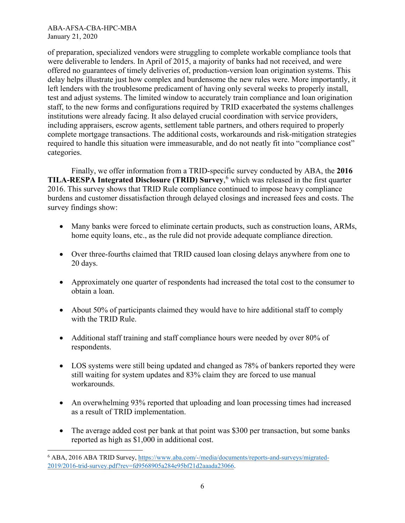l

of preparation, specialized vendors were struggling to complete workable compliance tools that were deliverable to lenders. In April of 2015, a majority of banks had not received, and were offered no guarantees of timely deliveries of, production-version loan origination systems. This delay helps illustrate just how complex and burdensome the new rules were. More importantly, it left lenders with the troublesome predicament of having only several weeks to properly install, test and adjust systems. The limited window to accurately train compliance and loan origination staff, to the new forms and configurations required by TRID exacerbated the systems challenges institutions were already facing. It also delayed crucial coordination with service providers, including appraisers, escrow agents, settlement table partners, and others required to properly complete mortgage transactions. The additional costs, workarounds and risk-mitigation strategies required to handle this situation were immeasurable, and do not neatly fit into "compliance cost" categories.

Finally, we offer information from a TRID-specific survey conducted by ABA, the **2016 TILA-RESPA Integrated Disclosure (TRID) Survey**, [6](#page-5-0) which was released in the first quarter 2016. This survey shows that TRID Rule compliance continued to impose heavy compliance burdens and customer dissatisfaction through delayed closings and increased fees and costs. The survey findings show:

- Many banks were forced to eliminate certain products, such as construction loans, ARMs, home equity loans, etc., as the rule did not provide adequate compliance direction.
- Over three-fourths claimed that TRID caused loan closing delays anywhere from one to 20 days.
- Approximately one quarter of respondents had increased the total cost to the consumer to obtain a loan.
- About 50% of participants claimed they would have to hire additional staff to comply with the TRID Rule.
- Additional staff training and staff compliance hours were needed by over 80% of respondents.
- LOS systems were still being updated and changed as 78% of bankers reported they were still waiting for system updates and 83% claim they are forced to use manual workarounds.
- An overwhelming 93% reported that uploading and loan processing times had increased as a result of TRID implementation.
- The average added cost per bank at that point was \$300 per transaction, but some banks reported as high as \$1,000 in additional cost.

<span id="page-5-0"></span><sup>6</sup> ABA, 2016 ABA TRID Survey, [https://www.aba.com/-/media/documents/reports-and-surveys/migrated-](https://nam02.safelinks.protection.outlook.com/?url=https%3A%2F%2Fwww.aba.com%2F-%2Fmedia%2Fdocuments%2Freports-and-surveys%2Fmigrated-2019%2F2016-trid-survey.pdf%3Frev%3Dfd9568905a284e95bf21d2aaada23066&data=02%7C01%7C%7C5719f2e75d564b9049ab08d79aa527f7%7Ca3b37c3eb73049669c214ffd576396de%7C0%7C1%7C637147906460873011&sdata=UAtjV8VYJnaIsmLEnwwiSpwSYZ0EqSznwapzqqIcz1E%3D&reserved=0)[2019/2016-trid-survey.pdf?rev=fd9568905a284e95bf21d2aaada23066.](https://nam02.safelinks.protection.outlook.com/?url=https%3A%2F%2Fwww.aba.com%2F-%2Fmedia%2Fdocuments%2Freports-and-surveys%2Fmigrated-2019%2F2016-trid-survey.pdf%3Frev%3Dfd9568905a284e95bf21d2aaada23066&data=02%7C01%7C%7C5719f2e75d564b9049ab08d79aa527f7%7Ca3b37c3eb73049669c214ffd576396de%7C0%7C1%7C637147906460873011&sdata=UAtjV8VYJnaIsmLEnwwiSpwSYZ0EqSznwapzqqIcz1E%3D&reserved=0)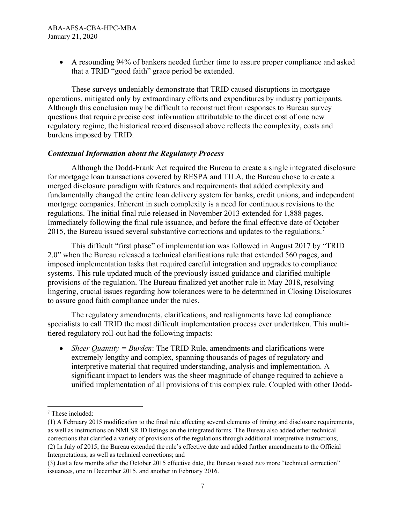• A resounding 94% of bankers needed further time to assure proper compliance and asked that a TRID "good faith" grace period be extended.

These surveys undeniably demonstrate that TRID caused disruptions in mortgage operations, mitigated only by extraordinary efforts and expenditures by industry participants. Although this conclusion may be difficult to reconstruct from responses to Bureau survey questions that require precise cost information attributable to the direct cost of one new regulatory regime, the historical record discussed above reflects the complexity, costs and burdens imposed by TRID.

### *Contextual Information about the Regulatory Process*

Although the Dodd-Frank Act required the Bureau to create a single integrated disclosure for mortgage loan transactions covered by RESPA and TILA, the Bureau chose to create a merged disclosure paradigm with features and requirements that added complexity and fundamentally changed the entire loan delivery system for banks, credit unions, and independent mortgage companies. Inherent in such complexity is a need for continuous revisions to the regulations. The initial final rule released in November 2013 extended for 1,888 pages. Immediately following the final rule issuance, and before the final effective date of October 2015, the Bureau issued several substantive corrections and updates to the regulations.<sup>[7](#page-6-0)</sup>

This difficult "first phase" of implementation was followed in August 2017 by "TRID 2.0" when the Bureau released a technical clarifications rule that extended 560 pages, and imposed implementation tasks that required careful integration and upgrades to compliance systems. This rule updated much of the previously issued guidance and clarified multiple provisions of the regulation. The Bureau finalized yet another rule in May 2018, resolving lingering, crucial issues regarding how tolerances were to be determined in Closing Disclosures to assure good faith compliance under the rules.

The regulatory amendments, clarifications, and realignments have led compliance specialists to call TRID the most difficult implementation process ever undertaken. This multitiered regulatory roll-out had the following impacts:

• *Sheer Quantity = Burden*: The TRID Rule, amendments and clarifications were extremely lengthy and complex, spanning thousands of pages of regulatory and interpretive material that required understanding, analysis and implementation. A significant impact to lenders was the sheer magnitude of change required to achieve a unified implementation of all provisions of this complex rule. Coupled with other Dodd-

<span id="page-6-0"></span><sup>7</sup> These included:

<sup>(1)</sup> A February 2015 modification to the final rule affecting several elements of timing and disclosure requirements, as well as instructions on NMLSR ID listings on the integrated forms. The Bureau also added other technical corrections that clarified a variety of provisions of the regulations through additional interpretive instructions; (2) In July of 2015, the Bureau extended the rule's effective date and added further amendments to the Official Interpretations, as well as technical corrections; and

<sup>(3)</sup> Just a few months after the October 2015 effective date, the Bureau issued *two* more "technical correction" issuances, one in December 2015, and another in February 2016.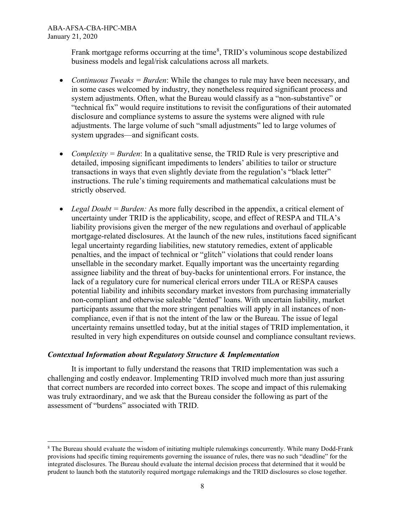l

Frank mortgage reforms occurring at the time<sup>[8](#page-7-0)</sup>, TRID's voluminous scope destabilized business models and legal/risk calculations across all markets.

- *Continuous Tweaks = Burden*: While the changes to rule may have been necessary, and in some cases welcomed by industry, they nonetheless required significant process and system adjustments. Often, what the Bureau would classify as a "non-substantive" or "technical fix" would require institutions to revisit the configurations of their automated disclosure and compliance systems to assure the systems were aligned with rule adjustments. The large volume of such "small adjustments" led to large volumes of system upgrades—and significant costs.
- *Complexity = Burden*: In a qualitative sense, the TRID Rule is very prescriptive and detailed, imposing significant impediments to lenders' abilities to tailor or structure transactions in ways that even slightly deviate from the regulation's "black letter" instructions. The rule's timing requirements and mathematical calculations must be strictly observed.
- *Legal Doubt = Burden:* As more fully described in the appendix, a critical element of uncertainty under TRID is the applicability, scope, and effect of RESPA and TILA's liability provisions given the merger of the new regulations and overhaul of applicable mortgage-related disclosures. At the launch of the new rules, institutions faced significant legal uncertainty regarding liabilities, new statutory remedies, extent of applicable penalties, and the impact of technical or "glitch" violations that could render loans unsellable in the secondary market. Equally important was the uncertainty regarding assignee liability and the threat of buy-backs for unintentional errors. For instance, the lack of a regulatory cure for numerical clerical errors under TILA or RESPA causes potential liability and inhibits secondary market investors from purchasing immaterially non-compliant and otherwise saleable "dented" loans. With uncertain liability, market participants assume that the more stringent penalties will apply in all instances of noncompliance, even if that is not the intent of the law or the Bureau. The issue of legal uncertainty remains unsettled today, but at the initial stages of TRID implementation, it resulted in very high expenditures on outside counsel and compliance consultant reviews.

### *Contextual Information about Regulatory Structure & Implementation*

It is important to fully understand the reasons that TRID implementation was such a challenging and costly endeavor. Implementing TRID involved much more than just assuring that correct numbers are recorded into correct boxes. The scope and impact of this rulemaking was truly extraordinary, and we ask that the Bureau consider the following as part of the assessment of "burdens" associated with TRID.

<span id="page-7-0"></span><sup>8</sup> The Bureau should evaluate the wisdom of initiating multiple rulemakings concurrently. While many Dodd-Frank provisions had specific timing requirements governing the issuance of rules, there was no such "deadline" for the integrated disclosures. The Bureau should evaluate the internal decision process that determined that it would be prudent to launch both the statutorily required mortgage rulemakings and the TRID disclosures so close together.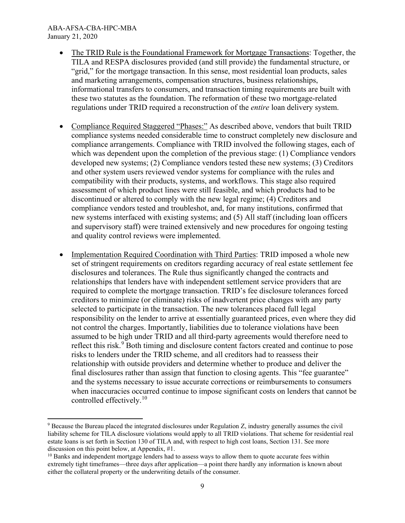- The TRID Rule is the Foundational Framework for Mortgage Transactions: Together, the TILA and RESPA disclosures provided (and still provide) the fundamental structure, or "grid," for the mortgage transaction. In this sense, most residential loan products, sales and marketing arrangements, compensation structures, business relationships, informational transfers to consumers, and transaction timing requirements are built with these two statutes as the foundation. The reformation of these two mortgage-related regulations under TRID required a reconstruction of the *entire* loan delivery system.
- Compliance Required Staggered "Phases:" As described above, vendors that built TRID compliance systems needed considerable time to construct completely new disclosure and compliance arrangements. Compliance with TRID involved the following stages, each of which was dependent upon the completion of the previous stage: (1) Compliance vendors developed new systems; (2) Compliance vendors tested these new systems; (3) Creditors and other system users reviewed vendor systems for compliance with the rules and compatibility with their products, systems, and workflows. This stage also required assessment of which product lines were still feasible, and which products had to be discontinued or altered to comply with the new legal regime; (4) Creditors and compliance vendors tested and troubleshot, and, for many institutions, confirmed that new systems interfaced with existing systems; and (5) All staff (including loan officers and supervisory staff) were trained extensively and new procedures for ongoing testing and quality control reviews were implemented.
- Implementation Required Coordination with Third Parties: TRID imposed a whole new set of stringent requirements on creditors regarding accuracy of real estate settlement fee disclosures and tolerances. The Rule thus significantly changed the contracts and relationships that lenders have with independent settlement service providers that are required to complete the mortgage transaction. TRID's fee disclosure tolerances forced creditors to minimize (or eliminate) risks of inadvertent price changes with any party selected to participate in the transaction. The new tolerances placed full legal responsibility on the lender to arrive at essentially guaranteed prices, even where they did not control the charges. Importantly, liabilities due to tolerance violations have been assumed to be high under TRID and all third-party agreements would therefore need to reflect this risk.<sup>[9](#page-8-0)</sup> Both timing and disclosure content factors created and continue to pose risks to lenders under the TRID scheme, and all creditors had to reassess their relationship with outside providers and determine whether to produce and deliver the final disclosures rather than assign that function to closing agents. This "fee guarantee" and the systems necessary to issue accurate corrections or reimbursements to consumers when inaccuracies occurred continue to impose significant costs on lenders that cannot be controlled effectively. [10](#page-8-1)

<span id="page-8-0"></span><sup>9</sup> Because the Bureau placed the integrated disclosures under Regulation Z, industry generally assumes the civil liability scheme for TILA disclosure violations would apply to all TRID violations. That scheme for residential real estate loans is set forth in Section 130 of TILA and, with respect to high cost loans, Section 131. See more discussion on this point below, at Appendix,  $#1$ .<br><sup>10</sup> Banks and independent mortgage lenders had to assess ways to allow them to quote accurate fees within

<span id="page-8-1"></span>extremely tight timeframes—three days after application—a point there hardly any information is known about either the collateral property or the underwriting details of the consumer.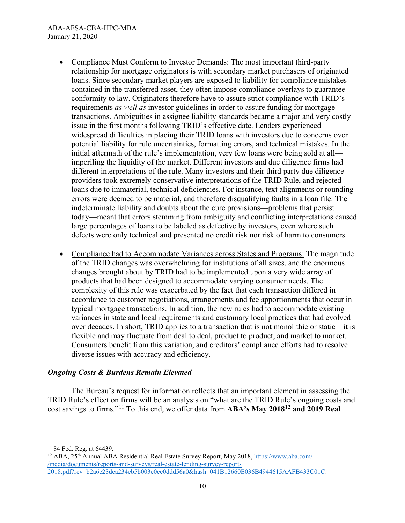- Compliance Must Conform to Investor Demands: The most important third-party relationship for mortgage originators is with secondary market purchasers of originated loans. Since secondary market players are exposed to liability for compliance mistakes contained in the transferred asset, they often impose compliance overlays to guarantee conformity to law. Originators therefore have to assure strict compliance with TRID's requirements *as well as* investor guidelines in order to assure funding for mortgage transactions. Ambiguities in assignee liability standards became a major and very costly issue in the first months following TRID's effective date. Lenders experienced widespread difficulties in placing their TRID loans with investors due to concerns over potential liability for rule uncertainties, formatting errors, and technical mistakes. In the initial aftermath of the rule's implementation, very few loans were being sold at all imperiling the liquidity of the market. Different investors and due diligence firms had different interpretations of the rule. Many investors and their third party due diligence providers took extremely conservative interpretations of the TRID Rule, and rejected loans due to immaterial, technical deficiencies. For instance, text alignments or rounding errors were deemed to be material, and therefore disqualifying faults in a loan file. The indeterminate liability and doubts about the cure provisions—problems that persist today—meant that errors stemming from ambiguity and conflicting interpretations caused large percentages of loans to be labeled as defective by investors, even where such defects were only technical and presented no credit risk nor risk of harm to consumers.
- Compliance had to Accommodate Variances across States and Programs: The magnitude of the TRID changes was overwhelming for institutions of all sizes, and the enormous changes brought about by TRID had to be implemented upon a very wide array of products that had been designed to accommodate varying consumer needs. The complexity of this rule was exacerbated by the fact that each transaction differed in accordance to customer negotiations, arrangements and fee apportionments that occur in typical mortgage transactions. In addition, the new rules had to accommodate existing variances in state and local requirements and customary local practices that had evolved over decades. In short, TRID applies to a transaction that is not monolithic or static—it is flexible and may fluctuate from deal to deal, product to product, and market to market. Consumers benefit from this variation, and creditors' compliance efforts had to resolve diverse issues with accuracy and efficiency.

# *Ongoing Costs & Burdens Remain Elevated*

The Bureau's request for information reflects that an important element in assessing the TRID Rule's effect on firms will be an analysis on "what are the TRID Rule's ongoing costs and cost savings to firms."[11](#page-9-0) To this end, we offer data from **ABA's May 2018[12](#page-9-1) and 2019 Real** 

<span id="page-9-0"></span> <sup>11</sup> 84 Fed. Reg. at 64439.

<span id="page-9-1"></span> $12$  ABA,  $25<sup>th</sup>$  Annual ABA Residential Real Estate Survey Report, May 2018, [https://www.aba.com/-](https://www.aba.com/-/media/documents/reports-and-surveys/real-estate-lending-survey-report-2018.pdf?rev=b2a6e23dca234eb5b003e0ce0ddd56a0&hash=041B12660E036B4944615AAFB433C01C) [/media/documents/reports-and-surveys/real-estate-lending-survey-report-](https://www.aba.com/-/media/documents/reports-and-surveys/real-estate-lending-survey-report-2018.pdf?rev=b2a6e23dca234eb5b003e0ce0ddd56a0&hash=041B12660E036B4944615AAFB433C01C)[2018.pdf?rev=b2a6e23dca234eb5b003e0ce0ddd56a0&hash=041B12660E036B4944615AAFB433C01C.](https://www.aba.com/-/media/documents/reports-and-surveys/real-estate-lending-survey-report-2018.pdf?rev=b2a6e23dca234eb5b003e0ce0ddd56a0&hash=041B12660E036B4944615AAFB433C01C)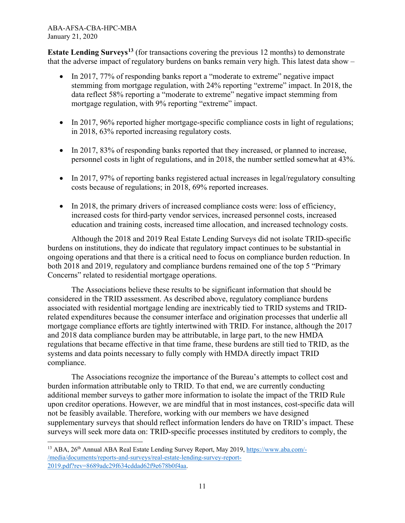l

**Estate Lending Surveys[13](#page-10-0)** (for transactions covering the previous 12 months) to demonstrate that the adverse impact of regulatory burdens on banks remain very high. This latest data show –

- In 2017, 77% of responding banks report a "moderate to extreme" negative impact stemming from mortgage regulation, with 24% reporting "extreme" impact. In 2018, the data reflect 58% reporting a "moderate to extreme" negative impact stemming from mortgage regulation, with 9% reporting "extreme" impact.
- In 2017, 96% reported higher mortgage-specific compliance costs in light of regulations; in 2018, 63% reported increasing regulatory costs.
- In 2017, 83% of responding banks reported that they increased, or planned to increase, personnel costs in light of regulations, and in 2018, the number settled somewhat at 43%.
- In 2017, 97% of reporting banks registered actual increases in legal/regulatory consulting costs because of regulations; in 2018, 69% reported increases.
- In 2018, the primary drivers of increased compliance costs were: loss of efficiency, increased costs for third-party vendor services, increased personnel costs, increased education and training costs, increased time allocation, and increased technology costs.

Although the 2018 and 2019 Real Estate Lending Surveys did not isolate TRID-specific burdens on institutions, they do indicate that regulatory impact continues to be substantial in ongoing operations and that there is a critical need to focus on compliance burden reduction. In both 2018 and 2019, regulatory and compliance burdens remained one of the top 5 "Primary Concerns" related to residential mortgage operations.

The Associations believe these results to be significant information that should be considered in the TRID assessment. As described above, regulatory compliance burdens associated with residential mortgage lending are inextricably tied to TRID systems and TRIDrelated expenditures because the consumer interface and origination processes that underlie all mortgage compliance efforts are tightly intertwined with TRID. For instance, although the 2017 and 2018 data compliance burden may be attributable, in large part, to the new HMDA regulations that became effective in that time frame, these burdens are still tied to TRID, as the systems and data points necessary to fully comply with HMDA directly impact TRID compliance.

The Associations recognize the importance of the Bureau's attempts to collect cost and burden information attributable only to TRID. To that end, we are currently conducting additional member surveys to gather more information to isolate the impact of the TRID Rule upon creditor operations. However, we are mindful that in most instances, cost-specific data will not be feasibly available. Therefore, working with our members we have designed supplementary surveys that should reflect information lenders do have on TRID's impact. These surveys will seek more data on: TRID-specific processes instituted by creditors to comply, the

<span id="page-10-0"></span><sup>&</sup>lt;sup>13</sup> ABA, 26<sup>th</sup> Annual ABA Real Estate Lending Survey Report, May 2019, [https://www.aba.com/-](https://nam02.safelinks.protection.outlook.com/?url=https%3A%2F%2Fwww.aba.com%2F-%2Fmedia%2Fdocuments%2Freports-and-surveys%2Freal-estate-lending-survey-report-2019.pdf%3Frev%3D8689adc29f634cddad62f9e678b0f4aa&data=02%7C01%7C%7C5719f2e75d564b9049ab08d79aa527f7%7Ca3b37c3eb73049669c214ffd576396de%7C0%7C1%7C637147906460883007&sdata=Dw91MYj7qW%2FW%2F2dkXGX7TpRqD4jzEbUSWsjkt%2B3FHJo%3D&reserved=0) [/media/documents/reports-and-surveys/real-estate-lending-survey-report-](https://nam02.safelinks.protection.outlook.com/?url=https%3A%2F%2Fwww.aba.com%2F-%2Fmedia%2Fdocuments%2Freports-and-surveys%2Freal-estate-lending-survey-report-2019.pdf%3Frev%3D8689adc29f634cddad62f9e678b0f4aa&data=02%7C01%7C%7C5719f2e75d564b9049ab08d79aa527f7%7Ca3b37c3eb73049669c214ffd576396de%7C0%7C1%7C637147906460883007&sdata=Dw91MYj7qW%2FW%2F2dkXGX7TpRqD4jzEbUSWsjkt%2B3FHJo%3D&reserved=0)[2019.pdf?rev=8689adc29f634cddad62f9e678b0f4aa.](https://nam02.safelinks.protection.outlook.com/?url=https%3A%2F%2Fwww.aba.com%2F-%2Fmedia%2Fdocuments%2Freports-and-surveys%2Freal-estate-lending-survey-report-2019.pdf%3Frev%3D8689adc29f634cddad62f9e678b0f4aa&data=02%7C01%7C%7C5719f2e75d564b9049ab08d79aa527f7%7Ca3b37c3eb73049669c214ffd576396de%7C0%7C1%7C637147906460883007&sdata=Dw91MYj7qW%2FW%2F2dkXGX7TpRqD4jzEbUSWsjkt%2B3FHJo%3D&reserved=0)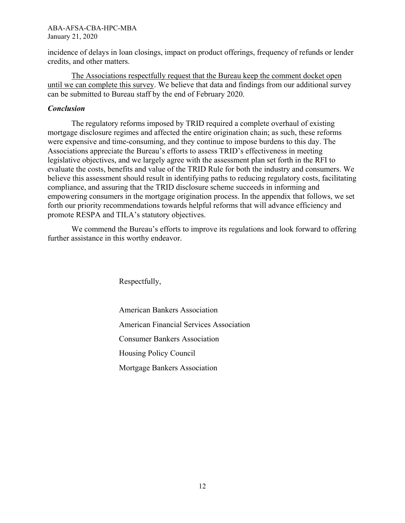incidence of delays in loan closings, impact on product offerings, frequency of refunds or lender credits, and other matters.

The Associations respectfully request that the Bureau keep the comment docket open until we can complete this survey. We believe that data and findings from our additional survey can be submitted to Bureau staff by the end of February 2020.

### *Conclusion*

The regulatory reforms imposed by TRID required a complete overhaul of existing mortgage disclosure regimes and affected the entire origination chain; as such, these reforms were expensive and time-consuming, and they continue to impose burdens to this day. The Associations appreciate the Bureau's efforts to assess TRID's effectiveness in meeting legislative objectives, and we largely agree with the assessment plan set forth in the RFI to evaluate the costs, benefits and value of the TRID Rule for both the industry and consumers. We believe this assessment should result in identifying paths to reducing regulatory costs, facilitating compliance, and assuring that the TRID disclosure scheme succeeds in informing and empowering consumers in the mortgage origination process. In the appendix that follows, we set forth our priority recommendations towards helpful reforms that will advance efficiency and promote RESPA and TILA's statutory objectives.

We commend the Bureau's efforts to improve its regulations and look forward to offering further assistance in this worthy endeavor.

Respectfully,

American Bankers Association American Financial Services Association Consumer Bankers Association Housing Policy Council Mortgage Bankers Association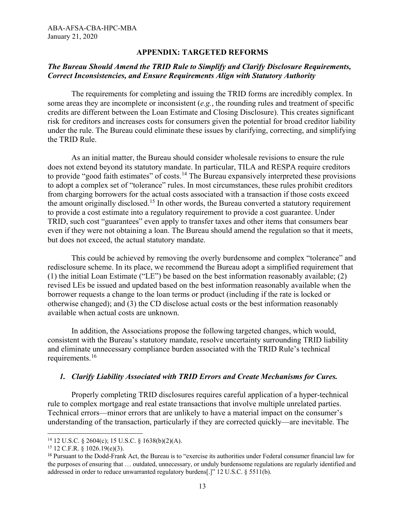### **APPENDIX: TARGETED REFORMS**

### *The Bureau Should Amend the TRID Rule to Simplify and Clarify Disclosure Requirements, Correct Inconsistencies, and Ensure Requirements Align with Statutory Authority*

The requirements for completing and issuing the TRID forms are incredibly complex. In some areas they are incomplete or inconsistent (*e.g.*, the rounding rules and treatment of specific credits are different between the Loan Estimate and Closing Disclosure). This creates significant risk for creditors and increases costs for consumers given the potential for broad creditor liability under the rule. The Bureau could eliminate these issues by clarifying, correcting, and simplifying the TRID Rule.

As an initial matter, the Bureau should consider wholesale revisions to ensure the rule does not extend beyond its statutory mandate. In particular, TILA and RESPA require creditors to provide "good faith estimates" of costs.<sup>[14](#page-12-0)</sup> The Bureau expansively interpreted these provisions to adopt a complex set of "tolerance" rules. In most circumstances, these rules prohibit creditors from charging borrowers for the actual costs associated with a transaction if those costs exceed the amount originally disclosed.<sup>[15](#page-12-1)</sup> In other words, the Bureau converted a statutory requirement to provide a cost estimate into a regulatory requirement to provide a cost guarantee. Under TRID, such cost "guarantees" even apply to transfer taxes and other items that consumers bear even if they were not obtaining a loan. The Bureau should amend the regulation so that it meets, but does not exceed, the actual statutory mandate.

This could be achieved by removing the overly burdensome and complex "tolerance" and redisclosure scheme. In its place, we recommend the Bureau adopt a simplified requirement that (1) the initial Loan Estimate ("LE") be based on the best information reasonably available; (2) revised LEs be issued and updated based on the best information reasonably available when the borrower requests a change to the loan terms or product (including if the rate is locked or otherwise changed); and (3) the CD disclose actual costs or the best information reasonably available when actual costs are unknown.

In addition, the Associations propose the following targeted changes, which would, consistent with the Bureau's statutory mandate, resolve uncertainty surrounding TRID liability and eliminate unnecessary compliance burden associated with the TRID Rule's technical requirements.[16](#page-12-2)

#### *1. Clarify Liability Associated with TRID Errors and Create Mechanisms for Cures.*

Properly completing TRID disclosures requires careful application of a hyper-technical rule to complex mortgage and real estate transactions that involve multiple unrelated parties. Technical errors—minor errors that are unlikely to have a material impact on the consumer's understanding of the transaction, particularly if they are corrected quickly—are inevitable. The

 $\overline{\phantom{a}}$ 

<span id="page-12-0"></span><sup>14</sup> 12 U.S.C. § 2604(c); 15 U.S.C. § 1638(b)(2)(A).

<span id="page-12-1"></span><sup>15</sup> 12 C.F.R. § 1026.19(e)(3).

<span id="page-12-2"></span><sup>16</sup> Pursuant to the Dodd-Frank Act, the Bureau is to "exercise its authorities under Federal consumer financial law for the purposes of ensuring that … outdated, unnecessary, or unduly burdensome regulations are regularly identified and addressed in order to reduce unwarranted regulatory burdens[.]" 12 U.S.C. § 5511(b).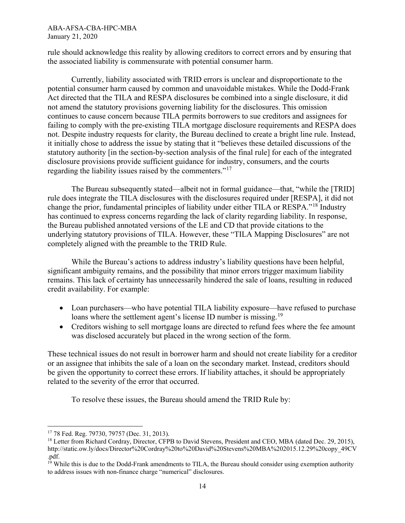rule should acknowledge this reality by allowing creditors to correct errors and by ensuring that the associated liability is commensurate with potential consumer harm.

Currently, liability associated with TRID errors is unclear and disproportionate to the potential consumer harm caused by common and unavoidable mistakes. While the Dodd-Frank Act directed that the TILA and RESPA disclosures be combined into a single disclosure, it did not amend the statutory provisions governing liability for the disclosures. This omission continues to cause concern because TILA permits borrowers to sue creditors and assignees for failing to comply with the pre-existing TILA mortgage disclosure requirements and RESPA does not. Despite industry requests for clarity, the Bureau declined to create a bright line rule. Instead, it initially chose to address the issue by stating that it "believes these detailed discussions of the statutory authority [in the section-by-section analysis of the final rule] for each of the integrated disclosure provisions provide sufficient guidance for industry, consumers, and the courts regarding the liability issues raised by the commenters."[17](#page-13-0)

The Bureau subsequently stated—albeit not in formal guidance—that, "while the [TRID] rule does integrate the TILA disclosures with the disclosures required under [RESPA], it did not change the prior, fundamental principles of liability under either TILA or RESPA."[18](#page-13-1) Industry has continued to express concerns regarding the lack of clarity regarding liability. In response, the Bureau published annotated versions of the LE and CD that provide citations to the underlying statutory provisions of TILA. However, these "TILA Mapping Disclosures" are not completely aligned with the preamble to the TRID Rule.

While the Bureau's actions to address industry's liability questions have been helpful, significant ambiguity remains, and the possibility that minor errors trigger maximum liability remains. This lack of certainty has unnecessarily hindered the sale of loans, resulting in reduced credit availability. For example:

- Loan purchasers—who have potential TILA liability exposure—have refused to purchase loans where the settlement agent's license ID number is missing.<sup>[19](#page-13-2)</sup>
- Creditors wishing to sell mortgage loans are directed to refund fees where the fee amount was disclosed accurately but placed in the wrong section of the form.

These technical issues do not result in borrower harm and should not create liability for a creditor or an assignee that inhibits the sale of a loan on the secondary market. Instead, creditors should be given the opportunity to correct these errors. If liability attaches, it should be appropriately related to the severity of the error that occurred.

To resolve these issues, the Bureau should amend the TRID Rule by:

<span id="page-13-0"></span> $\overline{a}$ <sup>17</sup> 78 Fed. Reg. 79730, 79757 (Dec. 31, 2013).

<span id="page-13-1"></span><sup>&</sup>lt;sup>18</sup> Letter from Richard Cordray, Director, CFPB to David Stevens, President and CEO, MBA (dated Dec. 29, 2015), http://static.ow.ly/docs/Director%20Cordray%20to%20David%20Stevens%20MBA%202015.12.29%20copy\_49CV .pdf.

<span id="page-13-2"></span><sup>&</sup>lt;sup>19</sup> While this is due to the Dodd-Frank amendments to TILA, the Bureau should consider using exemption authority to address issues with non-finance charge "numerical" disclosures.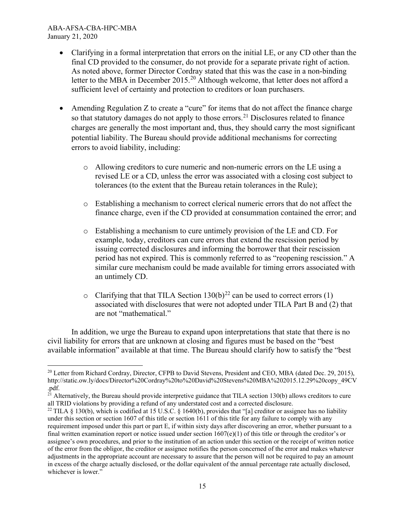$\overline{\phantom{a}}$ 

- Clarifying in a formal interpretation that errors on the initial LE, or any CD other than the final CD provided to the consumer, do not provide for a separate private right of action. As noted above, former Director Cordray stated that this was the case in a non-binding letter to the MBA in December [20](#page-14-0)15.<sup>20</sup> Although welcome, that letter does not afford a sufficient level of certainty and protection to creditors or loan purchasers.
- Amending Regulation Z to create a "cure" for items that do not affect the finance charge so that statutory damages do not apply to those errors.<sup>[21](#page-14-1)</sup> Disclosures related to finance charges are generally the most important and, thus, they should carry the most significant potential liability. The Bureau should provide additional mechanisms for correcting errors to avoid liability, including:
	- o Allowing creditors to cure numeric and non-numeric errors on the LE using a revised LE or a CD, unless the error was associated with a closing cost subject to tolerances (to the extent that the Bureau retain tolerances in the Rule);
	- o Establishing a mechanism to correct clerical numeric errors that do not affect the finance charge, even if the CD provided at consummation contained the error; and
	- o Establishing a mechanism to cure untimely provision of the LE and CD. For example, today, creditors can cure errors that extend the rescission period by issuing corrected disclosures and informing the borrower that their rescission period has not expired. This is commonly referred to as "reopening rescission." A similar cure mechanism could be made available for timing errors associated with an untimely CD.
	- o Clarifying that that TILA Section  $130(b)^{22}$  $130(b)^{22}$  $130(b)^{22}$  can be used to correct errors (1) associated with disclosures that were not adopted under TILA Part B and (2) that are not "mathematical."

In addition, we urge the Bureau to expand upon interpretations that state that there is no civil liability for errors that are unknown at closing and figures must be based on the "best available information" available at that time. The Bureau should clarify how to satisfy the "best

<span id="page-14-0"></span><sup>&</sup>lt;sup>20</sup> Letter from Richard Cordray, Director, CFPB to David Stevens, President and CEO, MBA (dated Dec. 29, 2015), http://static.ow.ly/docs/Director%20Cordray%20to%20David%20Stevens%20MBA%202015.12.29%20copy\_49CV .pdf.

<span id="page-14-1"></span><sup>&</sup>lt;sup>21</sup> Alternatively, the Bureau should provide interpretive guidance that TILA section 130(b) allows creditors to cure all TRID violations by providing a refund of any understated cost and a corrected disclosure.

<span id="page-14-2"></span><sup>&</sup>lt;sup>22</sup> TILA § 130(b), which is codified at 15 U.S.C. § 1640(b), provides that "[a] creditor or assignee has no liability under this section or section 1607 of this title or section 1611 of this title for any failure to comply with any requirement imposed under this part or part E, if within sixty days after discovering an error, whether pursuant to a final written examination report or notice issued under section  $1607(e)(1)$  of this title or through the creditor's or assignee's own procedures, and prior to the institution of an action under this section or the receipt of written notice of the error from the obligor, the creditor or assignee notifies the person concerned of the error and makes whatever adjustments in the appropriate account are necessary to assure that the person will not be required to pay an amount in excess of the charge actually disclosed, or the dollar equivalent of the annual percentage rate actually disclosed, whichever is lower."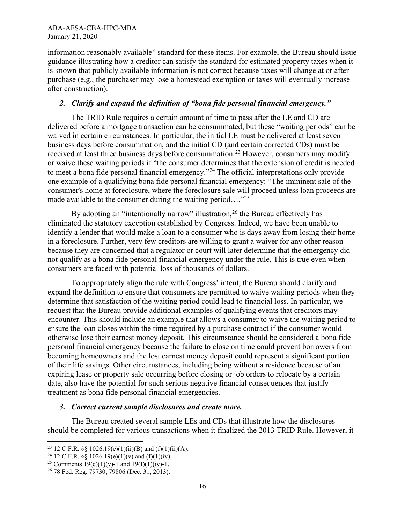information reasonably available" standard for these items. For example, the Bureau should issue guidance illustrating how a creditor can satisfy the standard for estimated property taxes when it is known that publicly available information is not correct because taxes will change at or after purchase (e.g., the purchaser may lose a homestead exemption or taxes will eventually increase after construction).

### *2. Clarify and expand the definition of "bona fide personal financial emergency."*

The TRID Rule requires a certain amount of time to pass after the LE and CD are delivered before a mortgage transaction can be consummated, but these "waiting periods" can be waived in certain circumstances. In particular, the initial LE must be delivered at least seven business days before consummation, and the initial CD (and certain corrected CDs) must be received at least three business days before consummation.<sup>[23](#page-15-0)</sup> However, consumers may modify or waive these waiting periods if "the consumer determines that the extension of credit is needed to meet a bona fide personal financial emergency."[24](#page-15-1) The official interpretations only provide one example of a qualifying bona fide personal financial emergency: "The imminent sale of the consumer's home at foreclosure, where the foreclosure sale will proceed unless loan proceeds are made available to the consumer during the waiting period...."<sup>[25](#page-15-2)</sup>

By adopting an "intentionally narrow" illustration, <sup>[26](#page-15-3)</sup> the Bureau effectively has eliminated the statutory exception established by Congress. Indeed, we have been unable to identify a lender that would make a loan to a consumer who is days away from losing their home in a foreclosure. Further, very few creditors are willing to grant a waiver for any other reason because they are concerned that a regulator or court will later determine that the emergency did not qualify as a bona fide personal financial emergency under the rule. This is true even when consumers are faced with potential loss of thousands of dollars.

To appropriately align the rule with Congress' intent, the Bureau should clarify and expand the definition to ensure that consumers are permitted to waive waiting periods when they determine that satisfaction of the waiting period could lead to financial loss. In particular, we request that the Bureau provide additional examples of qualifying events that creditors may encounter. This should include an example that allows a consumer to waive the waiting period to ensure the loan closes within the time required by a purchase contract if the consumer would otherwise lose their earnest money deposit. This circumstance should be considered a bona fide personal financial emergency because the failure to close on time could prevent borrowers from becoming homeowners and the lost earnest money deposit could represent a significant portion of their life savings. Other circumstances, including being without a residence because of an expiring lease or property sale occurring before closing or job orders to relocate by a certain date, also have the potential for such serious negative financial consequences that justify treatment as bona fide personal financial emergencies.

### *3. Correct current sample disclosures and create more.*

The Bureau created several sample LEs and CDs that illustrate how the disclosures should be completed for various transactions when it finalized the 2013 TRID Rule. However, it

<span id="page-15-0"></span><sup>&</sup>lt;sup>23</sup> 12 C.F.R. §§ 1026.19(e)(1)(ii)(B) and (f)(1)(ii)(A).<br><sup>24</sup> 12 C.F.R. §§ 1026.19(e)(1)(v) and (f)(1)(iv).

<span id="page-15-1"></span>

<span id="page-15-2"></span><sup>&</sup>lt;sup>25</sup> Comments 19(e)(1)(v)-1 and 19(f)(1)(iv)-1.

<span id="page-15-3"></span><sup>26</sup> 78 Fed. Reg. 79730, 79806 (Dec. 31, 2013).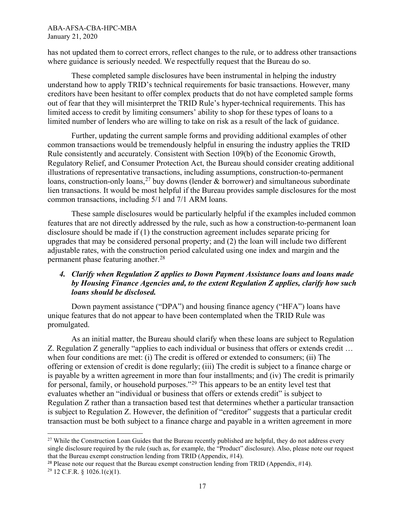has not updated them to correct errors, reflect changes to the rule, or to address other transactions where guidance is seriously needed. We respectfully request that the Bureau do so.

These completed sample disclosures have been instrumental in helping the industry understand how to apply TRID's technical requirements for basic transactions. However, many creditors have been hesitant to offer complex products that do not have completed sample forms out of fear that they will misinterpret the TRID Rule's hyper-technical requirements. This has limited access to credit by limiting consumers' ability to shop for these types of loans to a limited number of lenders who are willing to take on risk as a result of the lack of guidance.

Further, updating the current sample forms and providing additional examples of other common transactions would be tremendously helpful in ensuring the industry applies the TRID Rule consistently and accurately. Consistent with Section 109(b) of the Economic Growth, Regulatory Relief, and Consumer Protection Act, the Bureau should consider creating additional illustrations of representative transactions, including assumptions, construction-to-permanent loans, construction-only loans,<sup>[27](#page-16-0)</sup> buy downs (lender  $\&$  borrower) and simultaneous subordinate lien transactions. It would be most helpful if the Bureau provides sample disclosures for the most common transactions, including 5/1 and 7/1 ARM loans.

These sample disclosures would be particularly helpful if the examples included common features that are not directly addressed by the rule, such as how a construction-to-permanent loan disclosure should be made if (1) the construction agreement includes separate pricing for upgrades that may be considered personal property; and (2) the loan will include two different adjustable rates, with the construction period calculated using one index and margin and the permanent phase featuring another.[28](#page-16-1)

### *4. Clarify when Regulation Z applies to Down Payment Assistance loans and loans made by Housing Finance Agencies and, to the extent Regulation Z applies, clarify how such loans should be disclosed.*

Down payment assistance ("DPA") and housing finance agency ("HFA") loans have unique features that do not appear to have been contemplated when the TRID Rule was promulgated.

As an initial matter, the Bureau should clarify when these loans are subject to Regulation Z. Regulation Z generally "applies to each individual or business that offers or extends credit … when four conditions are met: (i) The credit is offered or extended to consumers; (ii) The offering or extension of credit is done regularly; (iii) The credit is subject to a finance charge or is payable by a written agreement in more than four installments; and (iv) The credit is primarily for personal, family, or household purposes."[29](#page-16-2) This appears to be an entity level test that evaluates whether an "individual or business that offers or extends credit" is subject to Regulation Z rather than a transaction based test that determines whether a particular transaction is subject to Regulation Z. However, the definition of "creditor" suggests that a particular credit transaction must be both subject to a finance charge and payable in a written agreement in more

 $\overline{\phantom{a}}$ 

<span id="page-16-0"></span><sup>&</sup>lt;sup>27</sup> While the Construction Loan Guides that the Bureau recently published are helpful, they do not address every single disclosure required by the rule (such as, for example, the "Product" disclosure). Also, please note our request that the Bureau exempt construction lending from TRID (Appendix, #14).

<span id="page-16-1"></span><sup>&</sup>lt;sup>28</sup> Please note our request that the Bureau exempt construction lending from TRID (Appendix,  $\#14$ ).

<span id="page-16-2"></span> $29$  12 C.F.R. § 1026.1(c)(1).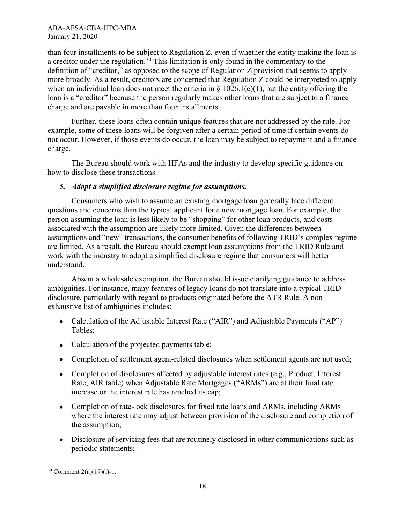than four installments to be subject to Regulation Z, even if whether the entity making the loan is a creditor under the regulation.[30](#page-17-0) This limitation is only found in the commentary to the definition of "creditor," as opposed to the scope of Regulation Z provision that seems to apply more broadly. As a result, creditors are concerned that Regulation Z could be interpreted to apply when an individual loan does not meet the criteria in  $\S$  1026.1(c)(1), but the entity offering the loan is a "creditor" because the person regularly makes other loans that are subject to a finance charge and are payable in more than four installments.

Further, these loans often contain unique features that are not addressed by the rule. For example, some of these loans will be forgiven after a certain period of time if certain events do not occur. However, if those events do occur, the loan may be subject to repayment and a finance charge.

The Bureau should work with HFAs and the industry to develop specific guidance on how to disclose these transactions.

# *5. Adopt a simplified disclosure regime for assumptions.*

Consumers who wish to assume an existing mortgage loan generally face different questions and concerns than the typical applicant for a new mortgage loan. For example, the person assuming the loan is less likely to be "shopping" for other loan products, and costs associated with the assumption are likely more limited. Given the differences between assumptions and "new" transactions, the consumer benefits of following TRID's complex regime are limited. As a result, the Bureau should exempt loan assumptions from the TRID Rule and work with the industry to adopt a simplified disclosure regime that consumers will better understand.

Absent a wholesale exemption, the Bureau should issue clarifying guidance to address ambiguities. For instance, many features of legacy loans do not translate into a typical TRID disclosure, particularly with regard to products originated before the ATR Rule. A nonexhaustive list of ambiguities includes:

- Calculation of the Adjustable Interest Rate ("AIR") and Adjustable Payments ("AP") Tables;
- Calculation of the projected payments table;
- Completion of settlement agent-related disclosures when settlement agents are not used;
- Completion of disclosures affected by adjustable interest rates (e.g., Product, Interest Rate, AIR table) when Adjustable Rate Mortgages ("ARMs") are at their final rate increase or the interest rate has reached its cap;
- Completion of rate-lock disclosures for fixed rate loans and ARMs, including ARMs where the interest rate may adjust between provision of the disclosure and completion of the assumption;
- Disclosure of servicing fees that are routinely disclosed in other communications such as periodic statements;

<span id="page-17-0"></span>l  $30$  Comment 2(a)(17)(i)-1.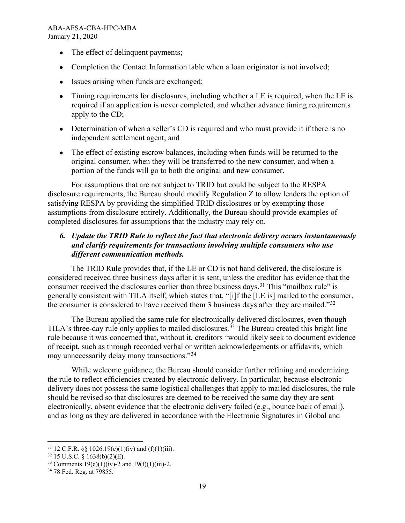- The effect of delinquent payments;
- Completion the Contact Information table when a loan originator is not involved;
- Issues arising when funds are exchanged;
- Timing requirements for disclosures, including whether a LE is required, when the LE is required if an application is never completed, and whether advance timing requirements apply to the CD;
- Determination of when a seller's CD is required and who must provide it if there is no independent settlement agent; and
- The effect of existing escrow balances, including when funds will be returned to the original consumer, when they will be transferred to the new consumer, and when a portion of the funds will go to both the original and new consumer.

For assumptions that are not subject to TRID but could be subject to the RESPA disclosure requirements, the Bureau should modify Regulation Z to allow lenders the option of satisfying RESPA by providing the simplified TRID disclosures or by exempting those assumptions from disclosure entirely. Additionally, the Bureau should provide examples of completed disclosures for assumptions that the industry may rely on.

### *6. Update the TRID Rule to reflect the fact that electronic delivery occurs instantaneously and clarify requirements for transactions involving multiple consumers who use different communication methods.*

The TRID Rule provides that, if the LE or CD is not hand delivered, the disclosure is considered received three business days after it is sent, unless the creditor has evidence that the consumer received the disclosures earlier than three business days.<sup>[31](#page-18-0)</sup> This "mailbox rule" is generally consistent with TILA itself, which states that, "[i]f the [LE is] mailed to the consumer, the consumer is considered to have received them 3 business days after they are mailed."[32](#page-18-1)

The Bureau applied the same rule for electronically delivered disclosures, even though TILA's three-day rule only applies to mailed disclosures.<sup>[33](#page-18-2)</sup> The Bureau created this bright line rule because it was concerned that, without it, creditors "would likely seek to document evidence of receipt, such as through recorded verbal or written acknowledgements or affidavits, which may unnecessarily delay many transactions."[34](#page-18-3) 

While welcome guidance, the Bureau should consider further refining and modernizing the rule to reflect efficiencies created by electronic delivery. In particular, because electronic delivery does not possess the same logistical challenges that apply to mailed disclosures, the rule should be revised so that disclosures are deemed to be received the same day they are sent electronically, absent evidence that the electronic delivery failed (e.g., bounce back of email), and as long as they are delivered in accordance with the Electronic Signatures in Global and

<span id="page-18-1"></span><span id="page-18-0"></span><sup>&</sup>lt;sup>31</sup> 12 C.F.R. §§ 1026.19(e)(1)(iv) and (f)(1)(iii).<br><sup>32</sup> 15 U.S.C. § 1638(b)(2)(E).<br><sup>33</sup> Comments 19(e)(1)(iv)-2 and 19(f)(1)(iii)-2.<br><sup>34</sup> 78 Fed. Reg. at 79855.

<span id="page-18-3"></span><span id="page-18-2"></span>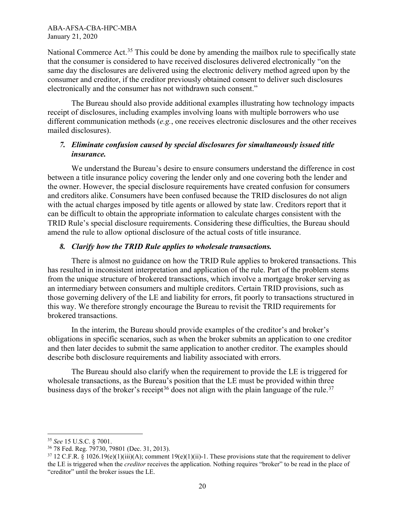National Commerce Act.<sup>[35](#page-19-0)</sup> This could be done by amending the mailbox rule to specifically state that the consumer is considered to have received disclosures delivered electronically "on the same day the disclosures are delivered using the electronic delivery method agreed upon by the consumer and creditor, if the creditor previously obtained consent to deliver such disclosures electronically and the consumer has not withdrawn such consent."

The Bureau should also provide additional examples illustrating how technology impacts receipt of disclosures, including examples involving loans with multiple borrowers who use different communication methods (*e.g.*, one receives electronic disclosures and the other receives mailed disclosures).

### *7. Eliminate confusion caused by special disclosures for simultaneously issued title insurance.*

We understand the Bureau's desire to ensure consumers understand the difference in cost between a title insurance policy covering the lender only and one covering both the lender and the owner. However, the special disclosure requirements have created confusion for consumers and creditors alike. Consumers have been confused because the TRID disclosures do not align with the actual charges imposed by title agents or allowed by state law. Creditors report that it can be difficult to obtain the appropriate information to calculate charges consistent with the TRID Rule's special disclosure requirements. Considering these difficulties, the Bureau should amend the rule to allow optional disclosure of the actual costs of title insurance.

### *8. Clarify how the TRID Rule applies to wholesale transactions.*

There is almost no guidance on how the TRID Rule applies to brokered transactions. This has resulted in inconsistent interpretation and application of the rule. Part of the problem stems from the unique structure of brokered transactions, which involve a mortgage broker serving as an intermediary between consumers and multiple creditors. Certain TRID provisions, such as those governing delivery of the LE and liability for errors, fit poorly to transactions structured in this way. We therefore strongly encourage the Bureau to revisit the TRID requirements for brokered transactions.

In the interim, the Bureau should provide examples of the creditor's and broker's obligations in specific scenarios, such as when the broker submits an application to one creditor and then later decides to submit the same application to another creditor. The examples should describe both disclosure requirements and liability associated with errors.

The Bureau should also clarify when the requirement to provide the LE is triggered for wholesale transactions, as the Bureau's position that the LE must be provided within three business days of the broker's receipt<sup>[36](#page-19-1)</sup> does not align with the plain language of the rule.<sup>[37](#page-19-2)</sup>

 $\overline{\phantom{a}}$ 

<span id="page-19-0"></span><sup>35</sup> *See* 15 U.S.C. § 7001.

<span id="page-19-1"></span><sup>&</sup>lt;sup>36</sup> 78 Fed. Reg. 79730, 79801 (Dec. 31, 2013).

<span id="page-19-2"></span> $37\,12$  C.F.R. § 1026.19(e)(1)(iii)(A); comment 19(e)(1)(ii)-1. These provisions state that the requirement to deliver the LE is triggered when the *creditor* receives the application. Nothing requires "broker" to be read in the place of "creditor" until the broker issues the LE.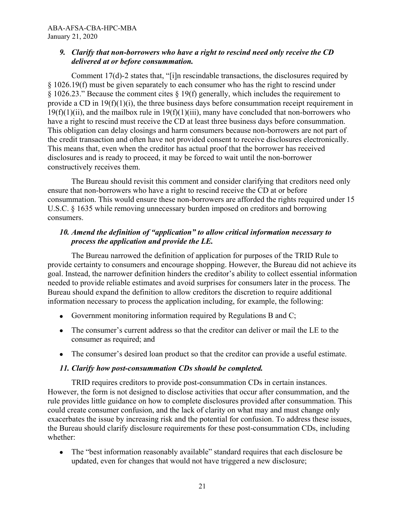### *9. Clarify that non-borrowers who have a right to rescind need only receive the CD delivered at or before consummation.*

Comment 17(d)-2 states that, "[i]n rescindable transactions, the disclosures required by § 1026.19(f) must be given separately to each consumer who has the right to rescind under § 1026.23." Because the comment cites § 19(f) generally, which includes the requirement to provide a CD in 19(f)(1)(i), the three business days before consummation receipt requirement in  $19(f)(1)(ii)$ , and the mailbox rule in  $19(f)(1)(iii)$ , many have concluded that non-borrowers who have a right to rescind must receive the CD at least three business days before consummation. This obligation can delay closings and harm consumers because non-borrowers are not part of the credit transaction and often have not provided consent to receive disclosures electronically. This means that, even when the creditor has actual proof that the borrower has received disclosures and is ready to proceed, it may be forced to wait until the non-borrower constructively receives them.

The Bureau should revisit this comment and consider clarifying that creditors need only ensure that non-borrowers who have a right to rescind receive the CD at or before consummation. This would ensure these non-borrowers are afforded the rights required under 15 U.S.C. § 1635 while removing unnecessary burden imposed on creditors and borrowing consumers.

# *10. Amend the definition of "application" to allow critical information necessary to process the application and provide the LE.*

The Bureau narrowed the definition of application for purposes of the TRID Rule to provide certainty to consumers and encourage shopping. However, the Bureau did not achieve its goal. Instead, the narrower definition hinders the creditor's ability to collect essential information needed to provide reliable estimates and avoid surprises for consumers later in the process. The Bureau should expand the definition to allow creditors the discretion to require additional information necessary to process the application including, for example, the following:

- Government monitoring information required by Regulations B and C;
- The consumer's current address so that the creditor can deliver or mail the LE to the consumer as required; and
- The consumer's desired loan product so that the creditor can provide a useful estimate.

# *11. Clarify how post-consummation CDs should be completed.*

TRID requires creditors to provide post-consummation CDs in certain instances. However, the form is not designed to disclose activities that occur after consummation, and the rule provides little guidance on how to complete disclosures provided after consummation. This could create consumer confusion, and the lack of clarity on what may and must change only exacerbates the issue by increasing risk and the potential for confusion. To address these issues, the Bureau should clarify disclosure requirements for these post-consummation CDs, including whether:

• The "best information reasonably available" standard requires that each disclosure be updated, even for changes that would not have triggered a new disclosure;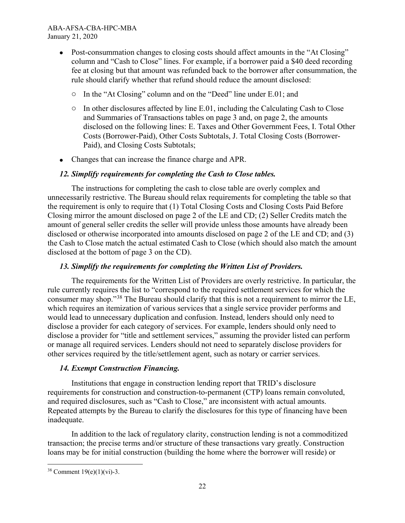- Post-consummation changes to closing costs should affect amounts in the "At Closing" column and "Cash to Close" lines. For example, if a borrower paid a \$40 deed recording fee at closing but that amount was refunded back to the borrower after consummation, the rule should clarify whether that refund should reduce the amount disclosed:
	- o In the "At Closing" column and on the "Deed" line under E.01; and
	- $\circ$  In other disclosures affected by line E.01, including the Calculating Cash to Close and Summaries of Transactions tables on page 3 and, on page 2, the amounts disclosed on the following lines: E. Taxes and Other Government Fees, I. Total Other Costs (Borrower-Paid), Other Costs Subtotals, J. Total Closing Costs (Borrower-Paid), and Closing Costs Subtotals;
- Changes that can increase the finance charge and APR.

# *12. Simplify requirements for completing the Cash to Close tables.*

The instructions for completing the cash to close table are overly complex and unnecessarily restrictive. The Bureau should relax requirements for completing the table so that the requirement is only to require that (1) Total Closing Costs and Closing Costs Paid Before Closing mirror the amount disclosed on page 2 of the LE and CD; (2) Seller Credits match the amount of general seller credits the seller will provide unless those amounts have already been disclosed or otherwise incorporated into amounts disclosed on page 2 of the LE and CD; and (3) the Cash to Close match the actual estimated Cash to Close (which should also match the amount disclosed at the bottom of page 3 on the CD).

# *13. Simplify the requirements for completing the Written List of Providers.*

The requirements for the Written List of Providers are overly restrictive. In particular, the rule currently requires the list to "correspond to the required settlement services for which the consumer may shop."[38](#page-21-0) The Bureau should clarify that this is not a requirement to mirror the LE, which requires an itemization of various services that a single service provider performs and would lead to unnecessary duplication and confusion. Instead, lenders should only need to disclose a provider for each category of services. For example, lenders should only need to disclose a provider for "title and settlement services," assuming the provider listed can perform or manage all required services. Lenders should not need to separately disclose providers for other services required by the title/settlement agent, such as notary or carrier services.

# *14. Exempt Construction Financing.*

Institutions that engage in construction lending report that TRID's disclosure requirements for construction and construction-to-permanent (CTP) loans remain convoluted, and required disclosures, such as "Cash to Close," are inconsistent with actual amounts. Repeated attempts by the Bureau to clarify the disclosures for this type of financing have been inadequate.

In addition to the lack of regulatory clarity, construction lending is not a commoditized transaction; the precise terms and/or structure of these transactions vary greatly. Construction loans may be for initial construction (building the home where the borrower will reside) or

<span id="page-21-0"></span>l  $38$  Comment 19(e)(1)(vi)-3.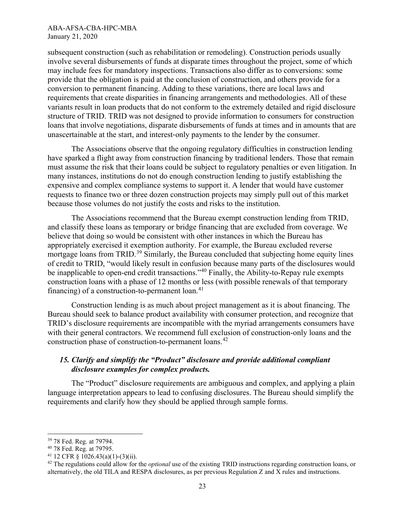subsequent construction (such as rehabilitation or remodeling). Construction periods usually involve several disbursements of funds at disparate times throughout the project, some of which may include fees for mandatory inspections. Transactions also differ as to conversions: some provide that the obligation is paid at the conclusion of construction, and others provide for a conversion to permanent financing. Adding to these variations, there are local laws and requirements that create disparities in financing arrangements and methodologies. All of these variants result in loan products that do not conform to the extremely detailed and rigid disclosure structure of TRID. TRID was not designed to provide information to consumers for construction loans that involve negotiations, disparate disbursements of funds at times and in amounts that are unascertainable at the start, and interest‐only payments to the lender by the consumer.

The Associations observe that the ongoing regulatory difficulties in construction lending have sparked a flight away from construction financing by traditional lenders. Those that remain must assume the risk that their loans could be subject to regulatory penalties or even litigation. In many instances, institutions do not do enough construction lending to justify establishing the expensive and complex compliance systems to support it. A lender that would have customer requests to finance two or three dozen construction projects may simply pull out of this market because those volumes do not justify the costs and risks to the institution.

The Associations recommend that the Bureau exempt construction lending from TRID, and classify these loans as temporary or bridge financing that are excluded from coverage. We believe that doing so would be consistent with other instances in which the Bureau has appropriately exercised it exemption authority. For example, the Bureau excluded reverse mortgage loans from TRID.<sup>[39](#page-22-0)</sup> Similarly, the Bureau concluded that subjecting home equity lines of credit to TRID, "would likely result in confusion because many parts of the disclosures would be inapplicable to open-end credit transactions."[40](#page-22-1) Finally, the Ability-to-Repay rule exempts construction loans with a phase of 12 months or less (with possible renewals of that temporary financing) of a construction-to-permanent loan. $41$ 

Construction lending is as much about project management as it is about financing. The Bureau should seek to balance product availability with consumer protection, and recognize that TRID's disclosure requirements are incompatible with the myriad arrangements consumers have with their general contractors. We recommend full exclusion of construction-only loans and the construction phase of construction-to-permanent loans.[42](#page-22-3) 

### *15. Clarify and simplify the "Product" disclosure and provide additional compliant disclosure examples for complex products.*

The "Product" disclosure requirements are ambiguous and complex, and applying a plain language interpretation appears to lead to confusing disclosures. The Bureau should simplify the requirements and clarify how they should be applied through sample forms.

 $\overline{\phantom{a}}$ 

<span id="page-22-0"></span><sup>39</sup> 78 Fed. Reg. at 79794.

<span id="page-22-1"></span><sup>40</sup> 78 Fed. Reg. at 79795.

<span id="page-22-2"></span> $41$  12 CFR § 1026.43(a)(1)-(3)(ii).

<span id="page-22-3"></span><sup>42</sup> The regulations could allow for the *optional* use of the existing TRID instructions regarding construction loans, or alternatively, the old TILA and RESPA disclosures, as per previous Regulation Z and X rules and instructions.